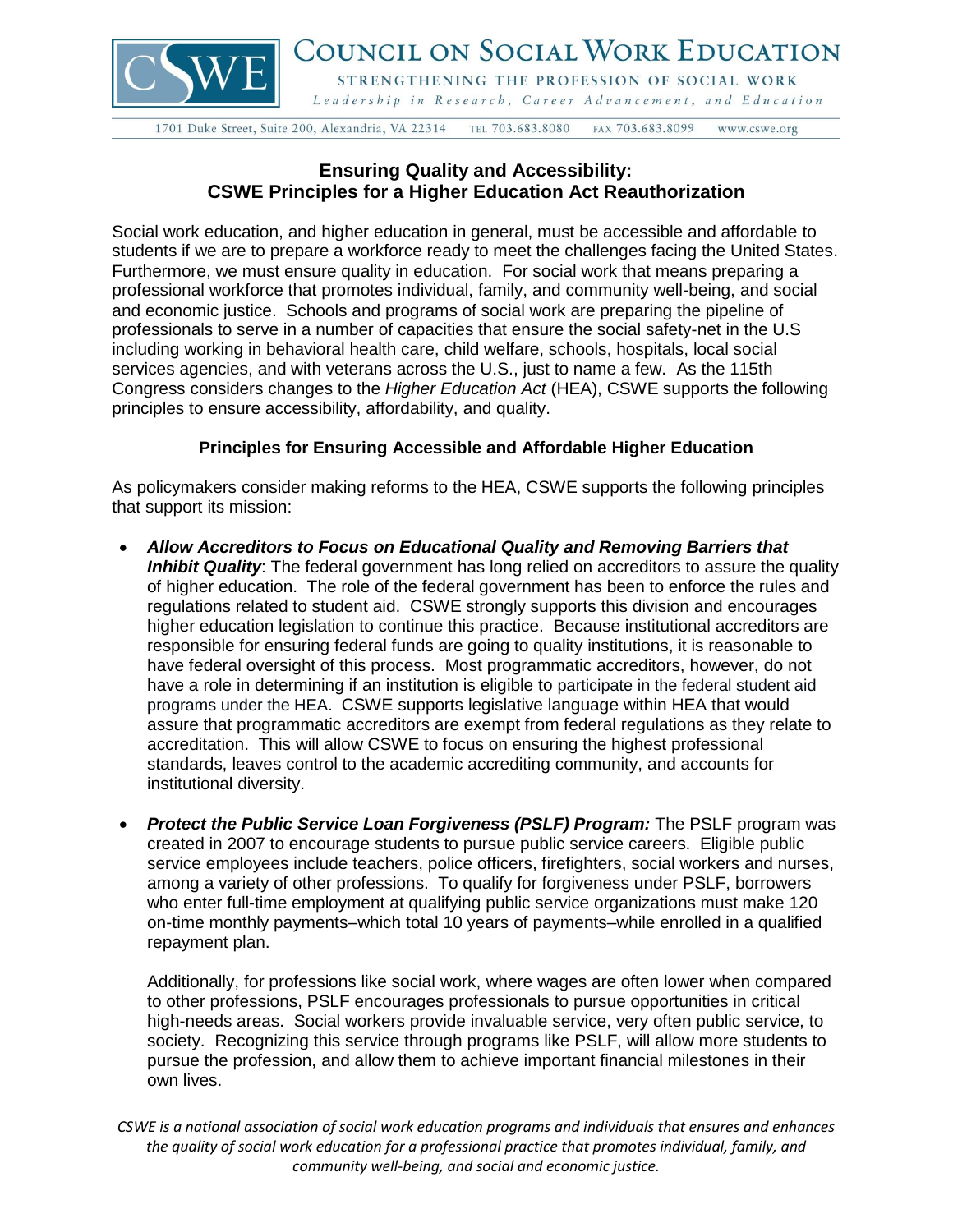

## COUNCIL ON SOCIAL WORK EDUCATION

STRENGTHENING THE PROFESSION OF SOCIAL WORK Leadership in Research, Career Advancement, and Education

1701 Duke Street, Suite 200, Alexandria, VA 22314 TEL 703.683.8080 FAX 703.683.8099 www.cswe.org

## **Ensuring Quality and Accessibility: CSWE Principles for a Higher Education Act Reauthorization**

Social work education, and higher education in general, must be accessible and affordable to students if we are to prepare a workforce ready to meet the challenges facing the United States. Furthermore, we must ensure quality in education. For social work that means preparing a professional workforce that promotes individual, family, and community well-being, and social and economic justice. Schools and programs of social work are preparing the pipeline of professionals to serve in a number of capacities that ensure the social safety-net in the U.S including working in behavioral health care, child welfare, schools, hospitals, local social services agencies, and with veterans across the U.S., just to name a few. As the 115th Congress considers changes to the *Higher Education Act* (HEA), CSWE supports the following principles to ensure accessibility, affordability, and quality.

## **Principles for Ensuring Accessible and Affordable Higher Education**

As policymakers consider making reforms to the HEA, CSWE supports the following principles that support its mission:

- *Allow Accreditors to Focus on Educational Quality and Removing Barriers that Inhibit Quality*: The federal government has long relied on accreditors to assure the quality of higher education. The role of the federal government has been to enforce the rules and regulations related to student aid. CSWE strongly supports this division and encourages higher education legislation to continue this practice. Because institutional accreditors are responsible for ensuring federal funds are going to quality institutions, it is reasonable to have federal oversight of this process. Most programmatic accreditors, however, do not have a role in determining if an institution is eligible to participate in the federal student aid programs under the HEA. CSWE supports legislative language within HEA that would assure that programmatic accreditors are exempt from federal regulations as they relate to accreditation. This will allow CSWE to focus on ensuring the highest professional standards, leaves control to the academic accrediting community, and accounts for institutional diversity.
- *Protect the Public Service Loan Forgiveness (PSLF) Program:* The PSLF program was created in 2007 to encourage students to pursue public service careers. Eligible public service employees include teachers, police officers, firefighters, social workers and nurses, among a variety of other professions. To qualify for forgiveness under PSLF, borrowers who enter full-time employment at qualifying public service organizations must make 120 on-time monthly payments–which total 10 years of payments–while enrolled in a qualified repayment plan.

Additionally, for professions like social work, where wages are often lower when compared to other professions, PSLF encourages professionals to pursue opportunities in critical high-needs areas. Social workers provide invaluable service, very often public service, to society. Recognizing this service through programs like PSLF, will allow more students to pursue the profession, and allow them to achieve important financial milestones in their own lives.

*CSWE is a national association of social work education programs and individuals that ensures and enhances the quality of social work education for a professional practice that promotes individual, family, and community well-being, and social and economic justice.*